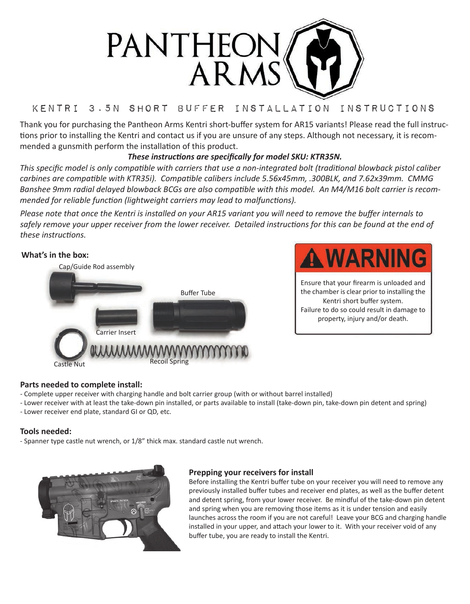

# Kentri 3.5N Short Buffer Installation Instructions

Thank you for purchasing the Pantheon Arms Kentri short-buffer system for AR15 variants! Please read the full instructions prior to installing the Kentri and contact us if you are unsure of any steps. Although not necessary, it is recommended a gunsmith perform the installation of this product.

## *These instructions are specifically for model SKU: KTR35N.*

*This specific model is only compatible with carriers that use a non-integrated bolt (traditional blowback pistol caliber carbines are compatible with KTR35i). Compatible calibers include 5.56x45mm, .300BLK, and 7.62x39mm. CMMG Banshee 9mm radial delayed blowback BCGs are also compatible with this model. An M4/M16 bolt carrier is recommended for reliable function (lightweight carriers may lead to malfunctions).*

*Please note that once the Kentri is installed on your AR15 variant you will need to remove the buffer internals to*  safely remove your upper receiver from the lower receiver. Detailed instructions for this can be found at the end of *these instructions.*

## **What's in the box:**





Ensure that your firearm is unloaded and the chamber is clear prior to installing the Kentri short buffer system. Failure to do so could result in damage to property, injury and/or death.

## **Parts needed to complete install:**

- Complete upper receiver with charging handle and bolt carrier group (with or without barrel installed)
- Lower receiver with at least the take-down pin installed, or parts available to install (take-down pin, take-down pin detent and spring)
- Lower receiver end plate, standard GI or QD, etc.

## **Tools needed:**

- Spanner type castle nut wrench, or  $1/8$ " thick max. standard castle nut wrench.



#### **Prepping your receivers for install**

Before installing the Kentri buffer tube on your receiver you will need to remove any previously installed buffer tubes and receiver end plates, as well as the buffer detent and detent spring, from your lower receiver. Be mindful of the take-down pin detent and spring when you are removing those items as it is under tension and easily launches across the room if you are not careful! Leave your BCG and charging handle installed in your upper, and attach your lower to it. With your receiver void of any buffer tube, you are ready to install the Kentri.